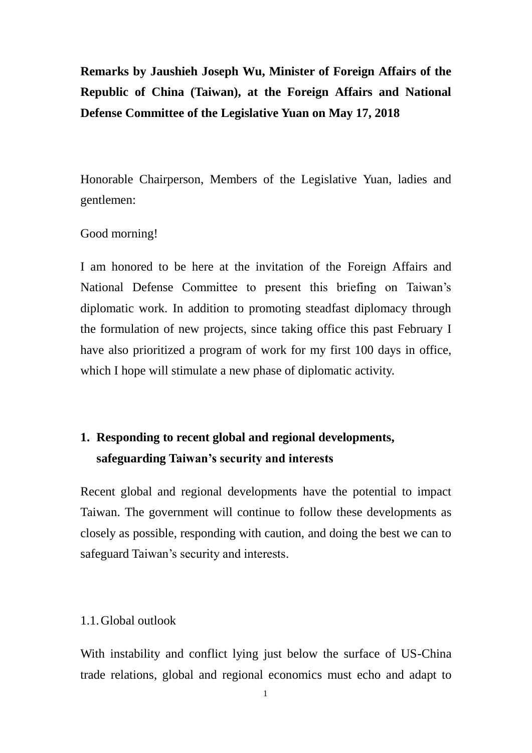**Remarks by Jaushieh Joseph Wu, Minister of Foreign Affairs of the Republic of China (Taiwan), at the Foreign Affairs and National Defense Committee of the Legislative Yuan on May 17, 2018**

Honorable Chairperson, Members of the Legislative Yuan, ladies and gentlemen:

#### Good morning!

I am honored to be here at the invitation of the Foreign Affairs and National Defense Committee to present this briefing on Taiwan's diplomatic work. In addition to promoting steadfast diplomacy through the formulation of new projects, since taking office this past February I have also prioritized a program of work for my first 100 days in office, which I hope will stimulate a new phase of diplomatic activity.

# **1. Responding to recent global and regional developments, safeguarding Taiwan's security and interests**

Recent global and regional developments have the potential to impact Taiwan. The government will continue to follow these developments as closely as possible, responding with caution, and doing the best we can to safeguard Taiwan's security and interests.

#### 1.1.Global outlook

With instability and conflict lying just below the surface of US-China trade relations, global and regional economics must echo and adapt to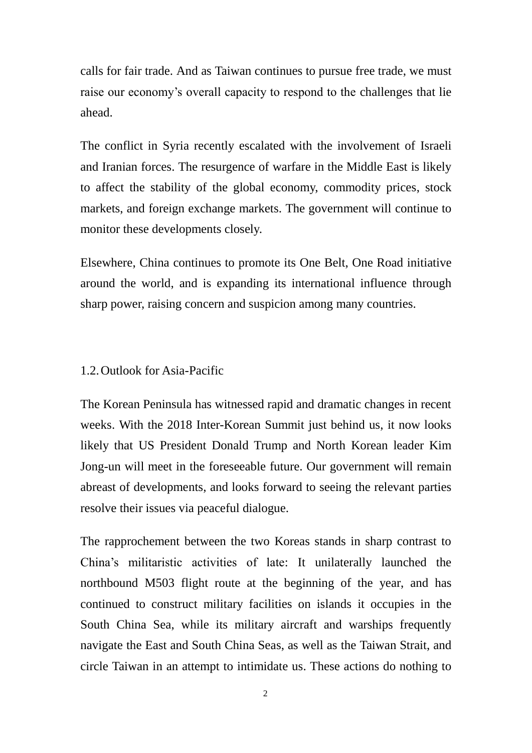calls for fair trade. And as Taiwan continues to pursue free trade, we must raise our economy's overall capacity to respond to the challenges that lie ahead.

The conflict in Syria recently escalated with the involvement of Israeli and Iranian forces. The resurgence of warfare in the Middle East is likely to affect the stability of the global economy, commodity prices, stock markets, and foreign exchange markets. The government will continue to monitor these developments closely.

Elsewhere, China continues to promote its One Belt, One Road initiative around the world, and is expanding its international influence through sharp power, raising concern and suspicion among many countries.

#### 1.2.Outlook for Asia-Pacific

The Korean Peninsula has witnessed rapid and dramatic changes in recent weeks. With the 2018 Inter-Korean Summit just behind us, it now looks likely that US President Donald Trump and North Korean leader Kim Jong-un will meet in the foreseeable future. Our government will remain abreast of developments, and looks forward to seeing the relevant parties resolve their issues via peaceful dialogue.

The rapprochement between the two Koreas stands in sharp contrast to China's militaristic activities of late: It unilaterally launched the northbound M503 flight route at the beginning of the year, and has continued to construct military facilities on islands it occupies in the South China Sea, while its military aircraft and warships frequently navigate the East and South China Seas, as well as the Taiwan Strait, and circle Taiwan in an attempt to intimidate us. These actions do nothing to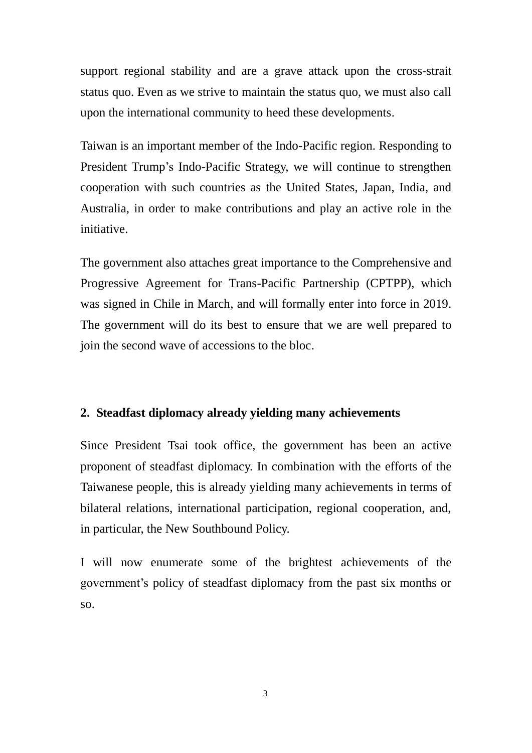support regional stability and are a grave attack upon the cross-strait status quo. Even as we strive to maintain the status quo, we must also call upon the international community to heed these developments.

Taiwan is an important member of the Indo-Pacific region. Responding to President Trump's Indo-Pacific Strategy, we will continue to strengthen cooperation with such countries as the United States, Japan, India, and Australia, in order to make contributions and play an active role in the initiative.

The government also attaches great importance to the Comprehensive and Progressive Agreement for Trans-Pacific Partnership (CPTPP), which was signed in Chile in March, and will formally enter into force in 2019. The government will do its best to ensure that we are well prepared to join the second wave of accessions to the bloc.

### **2. Steadfast diplomacy already yielding many achievements**

Since President Tsai took office, the government has been an active proponent of steadfast diplomacy. In combination with the efforts of the Taiwanese people, this is already yielding many achievements in terms of bilateral relations, international participation, regional cooperation, and, in particular, the New Southbound Policy.

I will now enumerate some of the brightest achievements of the government's policy of steadfast diplomacy from the past six months or so.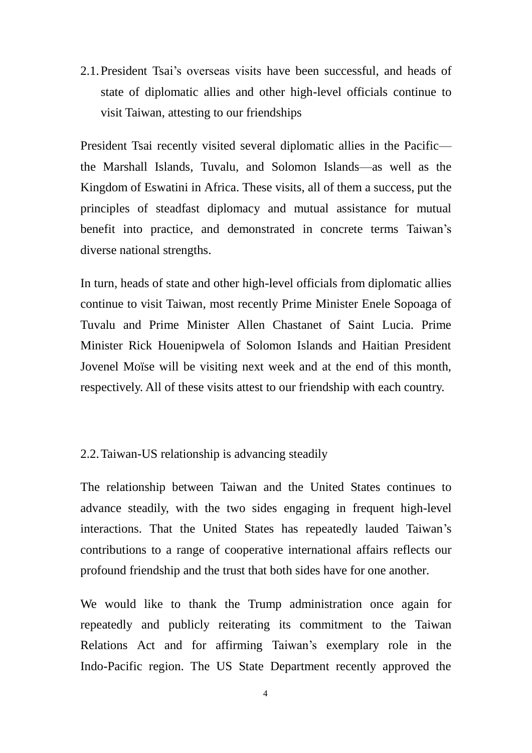2.1.President Tsai's overseas visits have been successful, and heads of state of diplomatic allies and other high-level officials continue to visit Taiwan, attesting to our friendships

President Tsai recently visited several diplomatic allies in the Pacific the Marshall Islands, Tuvalu, and Solomon Islands—as well as the Kingdom of Eswatini in Africa. These visits, all of them a success, put the principles of steadfast diplomacy and mutual assistance for mutual benefit into practice, and demonstrated in concrete terms Taiwan's diverse national strengths.

In turn, heads of state and other high-level officials from diplomatic allies continue to visit Taiwan, most recently Prime Minister Enele Sopoaga of Tuvalu and Prime Minister Allen Chastanet of Saint Lucia. Prime Minister Rick Houenipwela of Solomon Islands and Haitian President Jovenel Moïse will be visiting next week and at the end of this month, respectively. All of these visits attest to our friendship with each country.

#### 2.2.Taiwan-US relationship is advancing steadily

The relationship between Taiwan and the United States continues to advance steadily, with the two sides engaging in frequent high-level interactions. That the United States has repeatedly lauded Taiwan's contributions to a range of cooperative international affairs reflects our profound friendship and the trust that both sides have for one another.

We would like to thank the Trump administration once again for repeatedly and publicly reiterating its commitment to the Taiwan Relations Act and for affirming Taiwan's exemplary role in the Indo-Pacific region. The US State Department recently approved the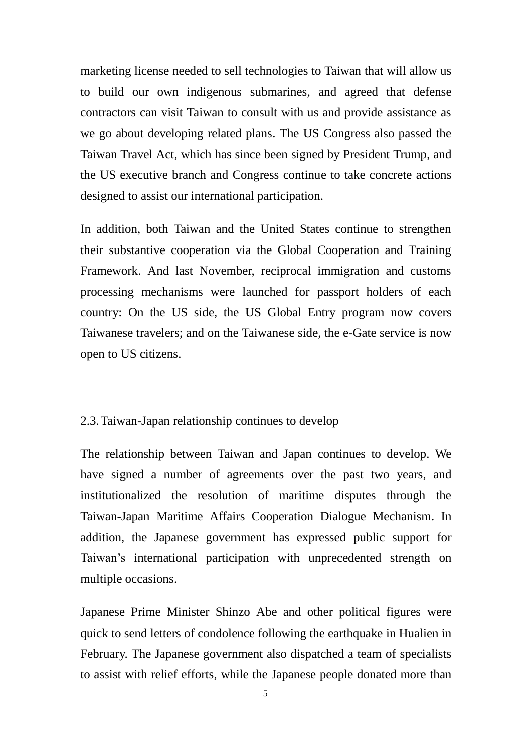marketing license needed to sell technologies to Taiwan that will allow us to build our own indigenous submarines, and agreed that defense contractors can visit Taiwan to consult with us and provide assistance as we go about developing related plans. The US Congress also passed the Taiwan Travel Act, which has since been signed by President Trump, and the US executive branch and Congress continue to take concrete actions designed to assist our international participation.

In addition, both Taiwan and the United States continue to strengthen their substantive cooperation via the Global Cooperation and Training Framework. And last November, reciprocal immigration and customs processing mechanisms were launched for passport holders of each country: On the US side, the US Global Entry program now covers Taiwanese travelers; and on the Taiwanese side, the e-Gate service is now open to US citizens.

#### 2.3.Taiwan-Japan relationship continues to develop

The relationship between Taiwan and Japan continues to develop. We have signed a number of agreements over the past two years, and institutionalized the resolution of maritime disputes through the Taiwan-Japan Maritime Affairs Cooperation Dialogue Mechanism. In addition, the Japanese government has expressed public support for Taiwan's international participation with unprecedented strength on multiple occasions.

Japanese Prime Minister Shinzo Abe and other political figures were quick to send letters of condolence following the earthquake in Hualien in February. The Japanese government also dispatched a team of specialists to assist with relief efforts, while the Japanese people donated more than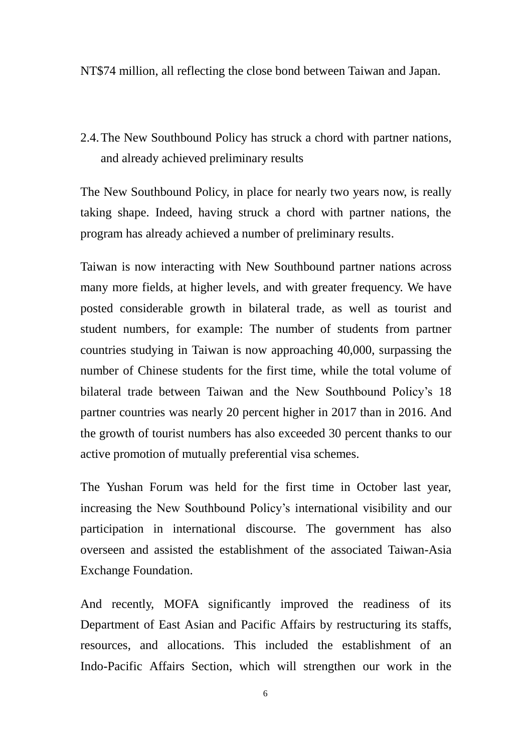NT\$74 million, all reflecting the close bond between Taiwan and Japan.

2.4.The New Southbound Policy has struck a chord with partner nations, and already achieved preliminary results

The New Southbound Policy, in place for nearly two years now, is really taking shape. Indeed, having struck a chord with partner nations, the program has already achieved a number of preliminary results.

Taiwan is now interacting with New Southbound partner nations across many more fields, at higher levels, and with greater frequency. We have posted considerable growth in bilateral trade, as well as tourist and student numbers, for example: The number of students from partner countries studying in Taiwan is now approaching 40,000, surpassing the number of Chinese students for the first time, while the total volume of bilateral trade between Taiwan and the New Southbound Policy's 18 partner countries was nearly 20 percent higher in 2017 than in 2016. And the growth of tourist numbers has also exceeded 30 percent thanks to our active promotion of mutually preferential visa schemes.

The Yushan Forum was held for the first time in October last year, increasing the New Southbound Policy's international visibility and our participation in international discourse. The government has also overseen and assisted the establishment of the associated Taiwan-Asia Exchange Foundation.

And recently, MOFA significantly improved the readiness of its Department of East Asian and Pacific Affairs by restructuring its staffs, resources, and allocations. This included the establishment of an Indo-Pacific Affairs Section, which will strengthen our work in the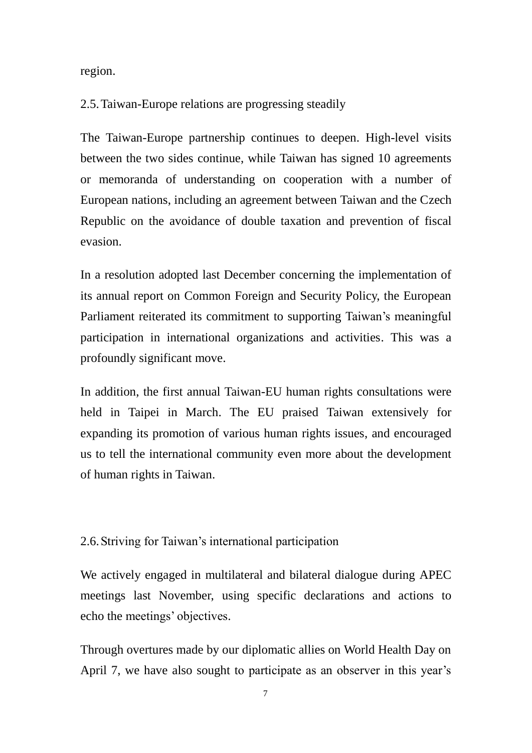region.

#### 2.5.Taiwan-Europe relations are progressing steadily

The Taiwan-Europe partnership continues to deepen. High-level visits between the two sides continue, while Taiwan has signed 10 agreements or memoranda of understanding on cooperation with a number of European nations, including an agreement between Taiwan and the Czech Republic on the avoidance of double taxation and prevention of fiscal evasion.

In a resolution adopted last December concerning the implementation of its annual report on Common Foreign and Security Policy, the European Parliament reiterated its commitment to supporting Taiwan's meaningful participation in international organizations and activities. This was a profoundly significant move.

In addition, the first annual Taiwan-EU human rights consultations were held in Taipei in March. The EU praised Taiwan extensively for expanding its promotion of various human rights issues, and encouraged us to tell the international community even more about the development of human rights in Taiwan.

#### 2.6.Striving for Taiwan's international participation

We actively engaged in multilateral and bilateral dialogue during APEC meetings last November, using specific declarations and actions to echo the meetings' objectives.

Through overtures made by our diplomatic allies on World Health Day on April 7, we have also sought to participate as an observer in this year's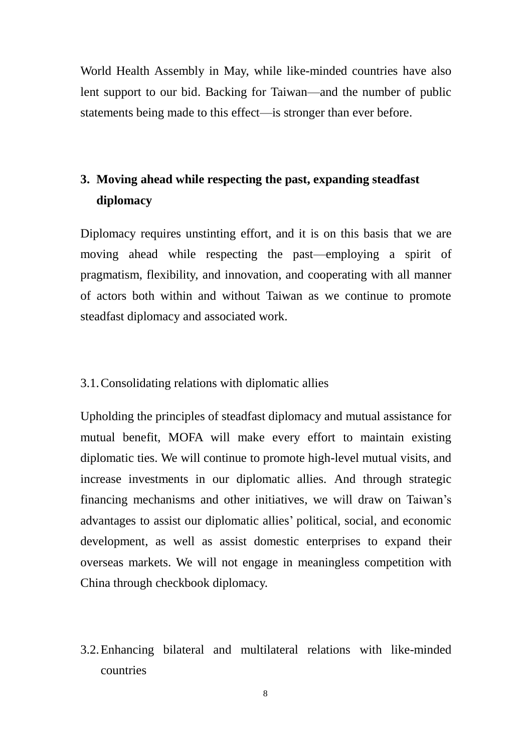World Health Assembly in May, while like-minded countries have also lent support to our bid. Backing for Taiwan—and the number of public statements being made to this effect—is stronger than ever before.

## **3. Moving ahead while respecting the past, expanding steadfast diplomacy**

Diplomacy requires unstinting effort, and it is on this basis that we are moving ahead while respecting the past—employing a spirit of pragmatism, flexibility, and innovation, and cooperating with all manner of actors both within and without Taiwan as we continue to promote steadfast diplomacy and associated work.

#### 3.1.Consolidating relations with diplomatic allies

Upholding the principles of steadfast diplomacy and mutual assistance for mutual benefit, MOFA will make every effort to maintain existing diplomatic ties. We will continue to promote high-level mutual visits, and increase investments in our diplomatic allies. And through strategic financing mechanisms and other initiatives, we will draw on Taiwan's advantages to assist our diplomatic allies' political, social, and economic development, as well as assist domestic enterprises to expand their overseas markets. We will not engage in meaningless competition with China through checkbook diplomacy.

3.2.Enhancing bilateral and multilateral relations with like-minded countries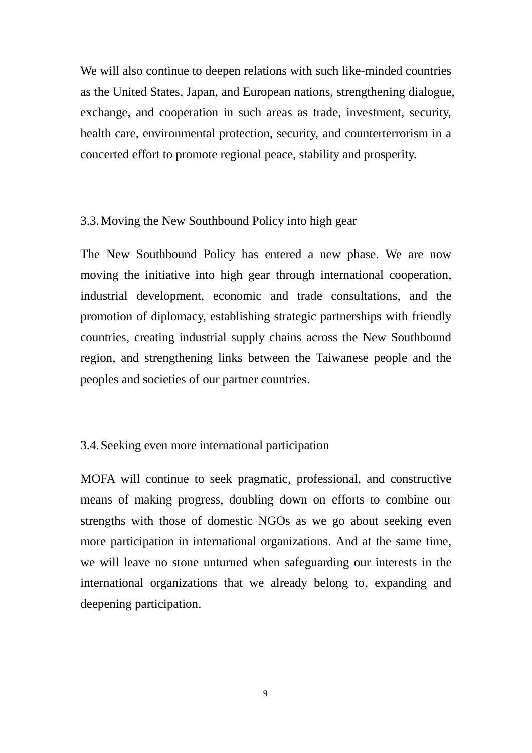We will also continue to deepen relations with such like-minded countries as the United States, Japan, and European nations, strengthening dialogue, exchange, and cooperation in such areas as trade, investment, security, health care, environmental protection, security, and counterterrorism in a concerted effort to promote regional peace, stability and prosperity.

#### 3.3.Moving the New Southbound Policy into high gear

The New Southbound Policy has entered a new phase. We are now moving the initiative into high gear through international cooperation, industrial development, economic and trade consultations, and the promotion of diplomacy, establishing strategic partnerships with friendly countries, creating industrial supply chains across the New Southbound region, and strengthening links between the Taiwanese people and the peoples and societies of our partner countries.

### 3.4.Seeking even more international participation

MOFA will continue to seek pragmatic, professional, and constructive means of making progress, doubling down on efforts to combine our strengths with those of domestic NGOs as we go about seeking even more participation in international organizations. And at the same time, we will leave no stone unturned when safeguarding our interests in the international organizations that we already belong to, expanding and deepening participation.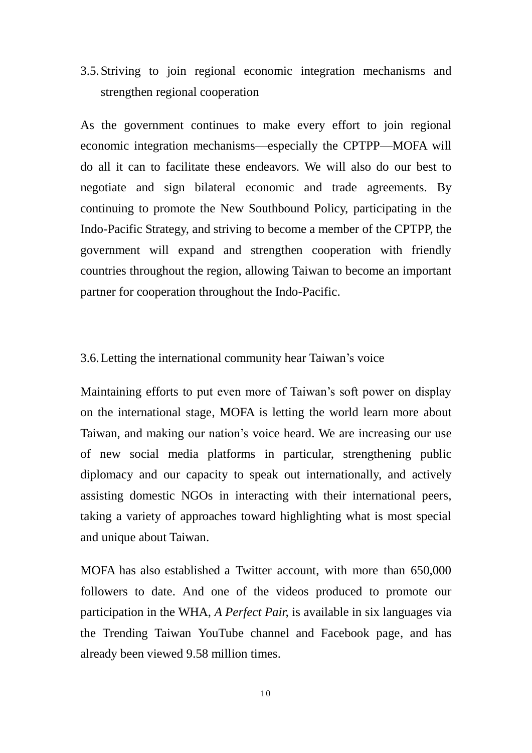3.5.Striving to join regional economic integration mechanisms and strengthen regional cooperation

As the government continues to make every effort to join regional economic integration mechanisms—especially the CPTPP—MOFA will do all it can to facilitate these endeavors. We will also do our best to negotiate and sign bilateral economic and trade agreements. By continuing to promote the New Southbound Policy, participating in the Indo-Pacific Strategy, and striving to become a member of the CPTPP, the government will expand and strengthen cooperation with friendly countries throughout the region, allowing Taiwan to become an important partner for cooperation throughout the Indo-Pacific.

#### 3.6.Letting the international community hear Taiwan's voice

Maintaining efforts to put even more of Taiwan's soft power on display on the international stage, MOFA is letting the world learn more about Taiwan, and making our nation's voice heard. We are increasing our use of new social media platforms in particular, strengthening public diplomacy and our capacity to speak out internationally, and actively assisting domestic NGOs in interacting with their international peers, taking a variety of approaches toward highlighting what is most special and unique about Taiwan.

MOFA has also established a Twitter account, with more than 650,000 followers to date. And one of the videos produced to promote our participation in the WHA, *A Perfect Pair,* is available in six languages via the Trending Taiwan YouTube channel and Facebook page, and has already been viewed 9.58 million times.